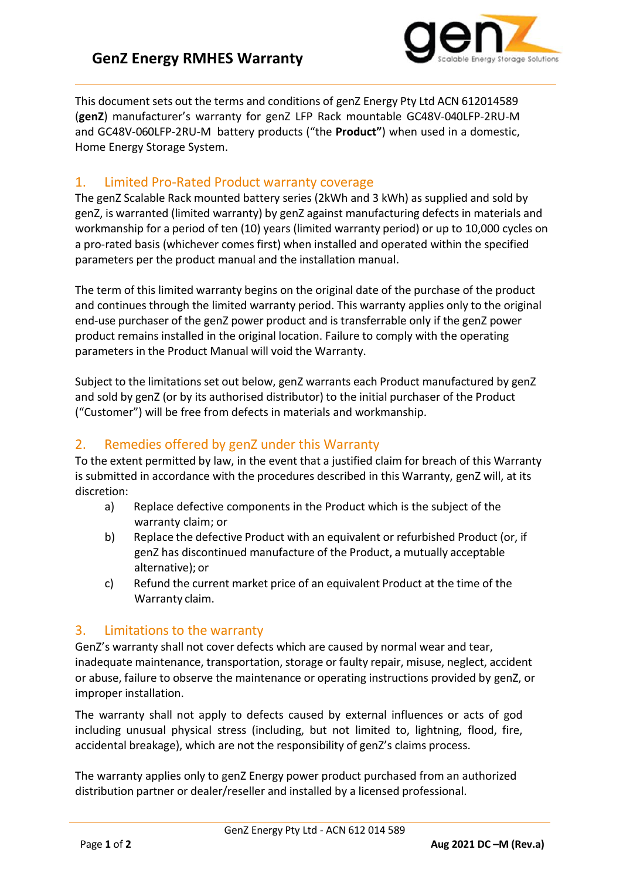

This document sets out the terms and conditions of genZ Energy Pty Ltd ACN 612014589 (**genZ**) manufacturer's warranty for genZ LFP Rack mountable GC48V-040LFP-2RU-M and GC48V-060LFP-2RU-M battery products ("the **Product"**) when used in a domestic, Home Energy Storage System.

## 1. Limited Pro-Rated Product warranty coverage

The genZ Scalable Rack mounted battery series (2kWh and 3 kWh) as supplied and sold by genZ, is warranted (limited warranty) by genZ against manufacturing defects in materials and workmanship for a period of ten (10) years (limited warranty period) or up to 10,000 cycles on a pro-rated basis (whichever comes first) when installed and operated within the specified parameters per the product manual and the installation manual.

The term of this limited warranty begins on the original date of the purchase of the product and continues through the limited warranty period. This warranty applies only to the original end-use purchaser of the genZ power product and is transferrable only if the genZ power product remains installed in the original location. Failure to comply with the operating parameters in the Product Manual will void the Warranty.

Subject to the limitations set out below, genZ warrants each Product manufactured by genZ and sold by genZ (or by its authorised distributor) to the initial purchaser of the Product ("Customer") will be free from defects in materials and workmanship.

# 2. Remedies offered by genZ under this Warranty

To the extent permitted by law, in the event that a justified claim for breach of this Warranty is submitted in accordance with the procedures described in this Warranty, genZ will, at its discretion:

- a) Replace defective components in the Product which is the subject of the warranty claim; or
- b) Replace the defective Product with an equivalent or refurbished Product (or, if genZ has discontinued manufacture of the Product, a mutually acceptable alternative); or
- c) Refund the current market price of an equivalent Product at the time of the Warranty claim.

# 3. Limitations to the warranty

GenZ's warranty shall not cover defects which are caused by normal wear and tear, inadequate maintenance, transportation, storage or faulty repair, misuse, neglect, accident or abuse, failure to observe the maintenance or operating instructions provided by genZ, or improper installation.

The warranty shall not apply to defects caused by external influences or acts of god including unusual physical stress (including, but not limited to, lightning, flood, fire, accidental breakage), which are not the responsibility of genZ's claims process.

The warranty applies only to genZ Energy power product purchased from an authorized distribution partner or dealer/reseller and installed by a licensed professional.